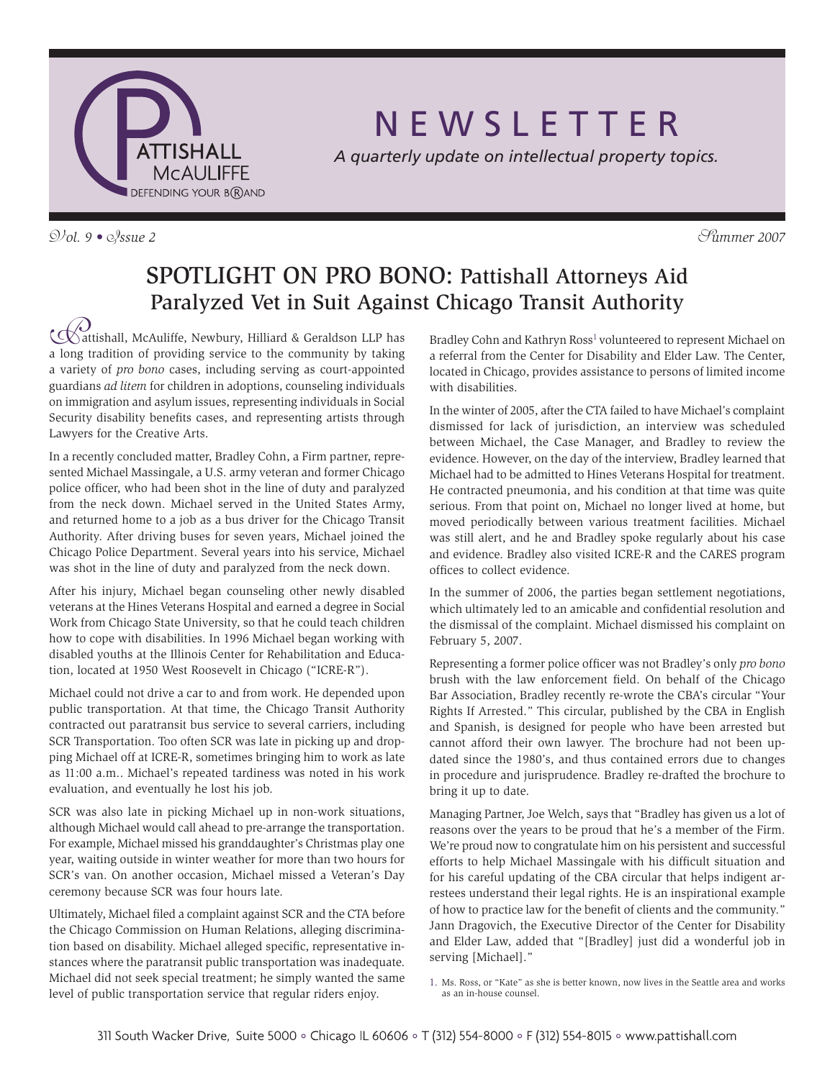

V*ol. 9 •* I*ssue 2* S*ummer 2007*

# N E W S L E T T E R

*A quarterly update on intellectual property topics.*

### SPOTLIGHT ON PRO BONO: Pattishall Attorneys Aid Paralyzed Vet in Suit Against Chicago Transit Authority

**CO**<br>attishall, McAuliffe, Newbury, Hilliard & Geraldson LLP has<br>a long tradition of providing service to the community by taking attishall, McAuliffe, Newbury, Hilliard & Geraldson LLP has a variety of *pro bono* cases, including serving as court-appointed guardians *ad litem* for children in adoptions, counseling individuals on immigration and asylum issues, representing individuals in Social Security disability benefits cases, and representing artists through Lawyers for the Creative Arts.

In a recently concluded matter, Bradley Cohn, a Firm partner, represented Michael Massingale, a U.S. army veteran and former Chicago police officer, who had been shot in the line of duty and paralyzed from the neck down. Michael served in the United States Army, and returned home to a job as a bus driver for the Chicago Transit Authority. After driving buses for seven years, Michael joined the Chicago Police Department. Several years into his service, Michael was shot in the line of duty and paralyzed from the neck down.

After his injury, Michael began counseling other newly disabled veterans at the Hines Veterans Hospital and earned a degree in Social Work from Chicago State University, so that he could teach children how to cope with disabilities. In 1996 Michael began working with disabled youths at the Illinois Center for Rehabilitation and Education, located at 1950 West Roosevelt in Chicago ("ICRE-R").

Michael could not drive a car to and from work. He depended upon public transportation. At that time, the Chicago Transit Authority contracted out paratransit bus service to several carriers, including SCR Transportation. Too often SCR was late in picking up and dropping Michael off at ICRE-R, sometimes bringing him to work as late as 11:00 a.m.. Michael's repeated tardiness was noted in his work evaluation, and eventually he lost his job.

SCR was also late in picking Michael up in non-work situations, although Michael would call ahead to pre-arrange the transportation. For example, Michael missed his granddaughter's Christmas play one year, waiting outside in winter weather for more than two hours for SCR's van. On another occasion, Michael missed a Veteran's Day ceremony because SCR was four hours late.

Ultimately, Michael filed a complaint against SCR and the CTA before the Chicago Commission on Human Relations, alleging discrimination based on disability. Michael alleged specific, representative instances where the paratransit public transportation was inadequate. Michael did not seek special treatment; he simply wanted the same level of public transportation service that regular riders enjoy.

Bradley Cohn and Kathryn Ross<sup>1</sup> volunteered to represent Michael on a referral from the Center for Disability and Elder Law. The Center, located in Chicago, provides assistance to persons of limited income with disabilities.

In the winter of 2005, after the CTA failed to have Michael's complaint dismissed for lack of jurisdiction, an interview was scheduled between Michael, the Case Manager, and Bradley to review the evidence. However, on the day of the interview, Bradley learned that Michael had to be admitted to Hines Veterans Hospital for treatment. He contracted pneumonia, and his condition at that time was quite serious. From that point on, Michael no longer lived at home, but moved periodically between various treatment facilities. Michael was still alert, and he and Bradley spoke regularly about his case and evidence. Bradley also visited ICRE-R and the CARES program offices to collect evidence.

In the summer of 2006, the parties began settlement negotiations, which ultimately led to an amicable and confidential resolution and the dismissal of the complaint. Michael dismissed his complaint on February 5, 2007.

Representing a former police officer was not Bradley's only *pro bono*  brush with the law enforcement field. On behalf of the Chicago Bar Association, Bradley recently re-wrote the CBA's circular "Your Rights If Arrested." This circular, published by the CBA in English and Spanish, is designed for people who have been arrested but cannot afford their own lawyer. The brochure had not been updated since the 1980's, and thus contained errors due to changes in procedure and jurisprudence. Bradley re-drafted the brochure to bring it up to date.

Managing Partner, Joe Welch, says that "Bradley has given us a lot of reasons over the years to be proud that he's a member of the Firm. We're proud now to congratulate him on his persistent and successful efforts to help Michael Massingale with his difficult situation and for his careful updating of the CBA circular that helps indigent arrestees understand their legal rights. He is an inspirational example of how to practice law for the benefit of clients and the community." Jann Dragovich, the Executive Director of the Center for Disability and Elder Law, added that "[Bradley] just did a wonderful job in serving [Michael]."

<sup>1.</sup> Ms. Ross, or "Kate" as she is better known, now lives in the Seattle area and works as an in-house counsel.